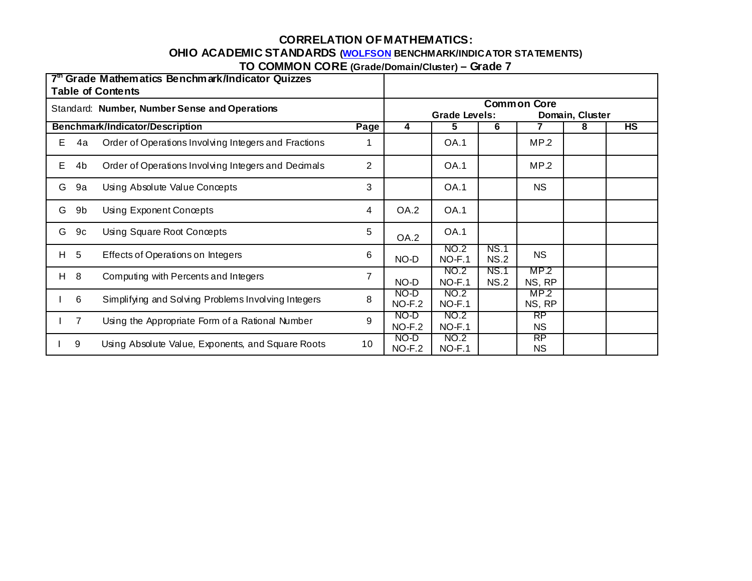### **CORRELATION OF MATHEMATICS:**

# **OHIO ACADEMIC STANDARDS (WOLFSON BENCHMARK/INDICATOR STATEMENTS)**

**TO COMMON CORE (Grade/Domain/Cluster) – Grade 7** 

| 7th Grade Mathematics Benchmark/Indicator Quizzes<br><b>Table of Contents</b> |                |                                                      |                |                                                               |                  |                            |                        |   |    |  |
|-------------------------------------------------------------------------------|----------------|------------------------------------------------------|----------------|---------------------------------------------------------------|------------------|----------------------------|------------------------|---|----|--|
|                                                                               |                | Standard: Number, Number Sense and Operations        |                | <b>Common Core</b><br><b>Grade Levels:</b><br>Domain, Cluster |                  |                            |                        |   |    |  |
|                                                                               |                | Benchmark/Indicator/Description                      | Page           | 4                                                             | 5.               | 6                          |                        | 8 | HS |  |
| E.                                                                            | 4a             | Order of Operations Involving Integers and Fractions | 1              |                                                               | <b>OA.1</b>      |                            | MP.2                   |   |    |  |
| E.                                                                            | 4b             | Order of Operations Involving Integers and Decimals  | $\overline{2}$ |                                                               | <b>OA.1</b>      |                            | MP.2                   |   |    |  |
| G                                                                             | 9а             | Using Absolute Value Concepts                        | 3              |                                                               | <b>OA.1</b>      |                            | <b>NS</b>              |   |    |  |
| G                                                                             | 9b             | Using Exponent Concepts                              | 4              | OA.2                                                          | <b>OA.1</b>      |                            |                        |   |    |  |
| G                                                                             | 9с             | Using Square Root Concepts                           | 5              | OA.2                                                          | <b>OA.1</b>      |                            |                        |   |    |  |
|                                                                               | H 5            | Effects of Operations on Integers                    | 6              | NO-D                                                          | NO.2<br>$NO-F.1$ | <b>NS.1</b><br><b>NS.2</b> | <b>NS</b>              |   |    |  |
| H.                                                                            | - 8            | Computing with Percents and Integers                 | 7              | NO-D                                                          | NO.2<br>$NO-F.1$ | NS.1<br>NS.2               | MP.2<br>NS, RP         |   |    |  |
|                                                                               | 6              | Simplifying and Solving Problems Involving Integers  | 8              | NO-D<br>$NO-F.2$                                              | NO.2<br>$NO-F.1$ |                            | MP.2<br>NS, RP         |   |    |  |
|                                                                               | $\overline{7}$ | Using the Appropriate Form of a Rational Number      | 9              | NO-D<br>$NO-F.2$                                              | NO.2<br>$NO-F.1$ |                            | RP<br><b>NS</b>        |   |    |  |
|                                                                               | 9              | Using Absolute Value, Exponents, and Square Roots    | 10             | NO-D<br>$NO-F.2$                                              | NO.2<br>$NO-F.1$ |                            | <b>RP</b><br><b>NS</b> |   |    |  |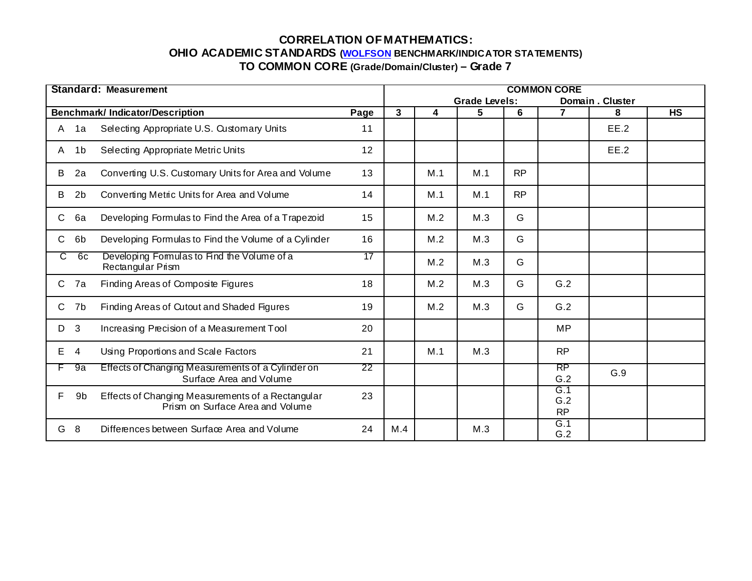| Standard: Measurement |                                                                                       |      |                      | <b>COMMON CORE</b> |     |           |                         |      |           |  |  |  |
|-----------------------|---------------------------------------------------------------------------------------|------|----------------------|--------------------|-----|-----------|-------------------------|------|-----------|--|--|--|
|                       |                                                                                       |      | <b>Grade Levels:</b> |                    |     |           | Domain, Cluster         |      |           |  |  |  |
|                       | <b>Benchmark/Indicator/Description</b>                                                | Page | 3                    | 4                  | 5   | 6         | $\overline{7}$          | 8    | <b>HS</b> |  |  |  |
| 1a<br>A               | Selecting Appropriate U.S. Customary Units                                            | 11   |                      |                    |     |           |                         | EE.2 |           |  |  |  |
| 1 <sub>b</sub><br>A   | Selecting Appropriate Metric Units                                                    | 12   |                      |                    |     |           |                         | EE.2 |           |  |  |  |
| 2a<br>B               | Converting U.S. Customary Units for Area and Volume                                   | 13   |                      | M.1                | M.1 | <b>RP</b> |                         |      |           |  |  |  |
| 2 <sub>b</sub><br>B   | Converting Metric Units for Area and Volume                                           | 14   |                      | M.1                | M.1 | <b>RP</b> |                         |      |           |  |  |  |
| C.<br>6a              | Developing Formulas to Find the Area of a Trapezoid                                   | 15   |                      | M.2                | M.3 | G         |                         |      |           |  |  |  |
| C.<br>6 <sub>b</sub>  | Developing Formulas to Find the Volume of a Cylinder                                  | 16   |                      | M.2                | M.3 | G         |                         |      |           |  |  |  |
| C.<br>6с              | Developing Formulas to Find the Volume of a<br>Rectangular Prism                      | 17   |                      | M.2                | M.3 | G         |                         |      |           |  |  |  |
| $\mathsf{C}$<br>7a    | Finding Areas of Composite Figures                                                    | 18   |                      | M.2                | M.3 | G         | G.2                     |      |           |  |  |  |
| C.<br>7b              | Finding Areas of Cutout and Shaded Figures                                            | 19   |                      | M.2                | M.3 | G         | G.2                     |      |           |  |  |  |
| 3<br>D                | Increasing Precision of a Measurement Tool                                            | 20   |                      |                    |     |           | <b>MP</b>               |      |           |  |  |  |
| E.<br>$\overline{4}$  | Using Proportions and Scale Factors                                                   | 21   |                      | M.1                | M.3 |           | <b>RP</b>               |      |           |  |  |  |
| 9a                    | Effects of Changing Measurements of a Cylinder on<br>Surface Area and Volume          | 22   |                      |                    |     |           | RP<br>G.2               | G.9  |           |  |  |  |
| F.<br>9b              | Effects of Changing Measurements of a Rectangular<br>Prism on Surface Area and Volume | 23   |                      |                    |     |           | G.1<br>G.2<br><b>RP</b> |      |           |  |  |  |
| - 8<br>G              | Differences between Surface Area and Volume                                           | 24   | M.4                  |                    | M.3 |           | G.1<br>G.2              |      |           |  |  |  |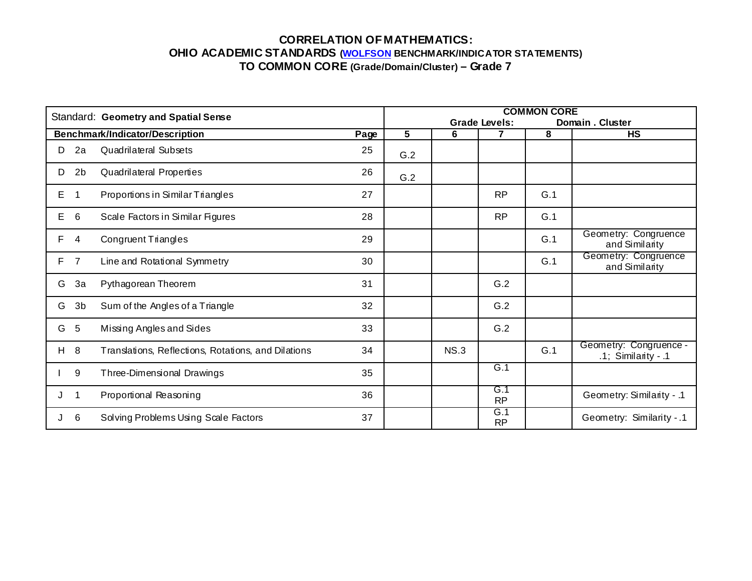| Standard: Geometry and Spatial Sense |                |                                                     |      |     | <b>COMMON CORE</b> |                  |     |                                                  |  |  |  |  |
|--------------------------------------|----------------|-----------------------------------------------------|------|-----|--------------------|------------------|-----|--------------------------------------------------|--|--|--|--|
|                                      |                |                                                     |      |     | Domain. Cluster    |                  |     |                                                  |  |  |  |  |
|                                      |                | Benchmark/Indicator/Description                     | Page | 5   | 6                  |                  | 8   | <b>HS</b>                                        |  |  |  |  |
| D                                    | 2a             | <b>Quadrilateral Subsets</b>                        | 25   | G.2 |                    |                  |     |                                                  |  |  |  |  |
| D                                    | 2 <sub>b</sub> | <b>Quadrilateral Properties</b>                     | 26   | G.2 |                    |                  |     |                                                  |  |  |  |  |
| E                                    | -1             | Proportions in Similar Triangles                    | 27   |     |                    | <b>RP</b>        | G.1 |                                                  |  |  |  |  |
| Е                                    | 6              | Scale Factors in Similar Figures                    | 28   |     |                    | <b>RP</b>        | G.1 |                                                  |  |  |  |  |
| F                                    | 4              | Congruent Triangles                                 | 29   |     |                    |                  | G.1 | Geometry: Congruence<br>and Similarity           |  |  |  |  |
| F.                                   | $\overline{7}$ | Line and Rotational Symmetry                        | 30   |     |                    |                  | G.1 | Geometry: Congruence<br>and Similarity           |  |  |  |  |
| G                                    | 3a             | Pythagorean Theorem                                 | 31   |     |                    | G.2              |     |                                                  |  |  |  |  |
| G                                    | 3 <sub>b</sub> | Sum of the Angles of a Triangle                     | 32   |     |                    | G.2              |     |                                                  |  |  |  |  |
| G                                    | 5              | Missing Angles and Sides                            | 33   |     |                    | G.2              |     |                                                  |  |  |  |  |
| H.                                   | 8              | Translations, Reflections, Rotations, and Dilations | 34   |     | NS.3               |                  | G.1 | Geometry: Congruence -<br>$.1$ ; Similarity - .1 |  |  |  |  |
|                                      | 9              | Three-Dimensional Drawings                          | 35   |     |                    | G.1              |     |                                                  |  |  |  |  |
|                                      | $\mathbf 1$    | Proportional Reasoning                              | 36   |     |                    | G.1<br><b>RP</b> |     | Geometry: Similarity - .1                        |  |  |  |  |
|                                      | 6              | Solving Problems Using Scale Factors                | 37   |     |                    | G.1<br><b>RP</b> |     | Geometry: Similarity - .1                        |  |  |  |  |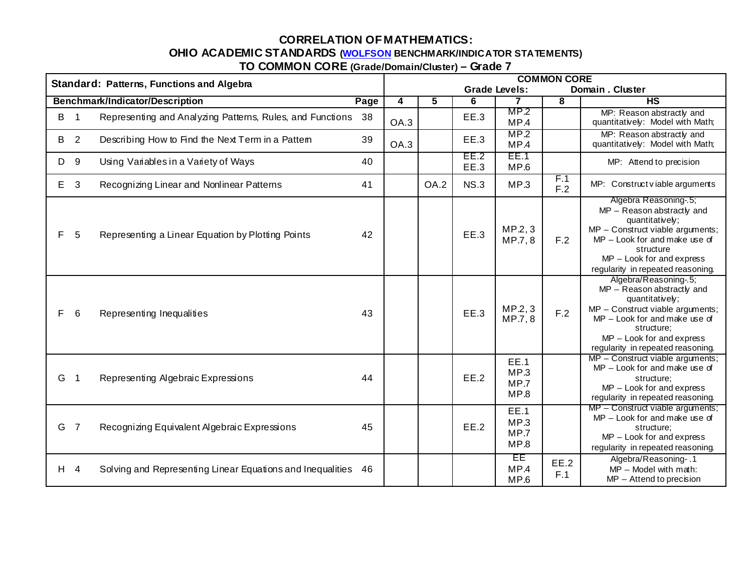# **CORRELATION OF MATHEMATICS:**

# **OHIO ACADEMIC STANDARDS (WOLFSON BENCHMARK/INDICATOR STATEMENTS)**

|  | TO COMMON CORE (Grade/Domain/Cluster) - Grade 7 |  |
|--|-------------------------------------------------|--|
|--|-------------------------------------------------|--|

| Standard: Patterns, Functions and Algebra |                         |                                                            |      | <b>COMMON CORE</b> |                                         |                     |                                     |             |                                                                                                                                                                                                                                   |  |
|-------------------------------------------|-------------------------|------------------------------------------------------------|------|--------------------|-----------------------------------------|---------------------|-------------------------------------|-------------|-----------------------------------------------------------------------------------------------------------------------------------------------------------------------------------------------------------------------------------|--|
|                                           |                         |                                                            |      |                    | Domain. Cluster<br><b>Grade Levels:</b> |                     |                                     |             |                                                                                                                                                                                                                                   |  |
|                                           |                         | Benchmark/Indicator/Description                            | Page | 4                  | 5                                       | 6                   |                                     | 8           | H <sub>S</sub>                                                                                                                                                                                                                    |  |
| B                                         | $\overline{\mathbf{1}}$ | Representing and Analyzing Patterns, Rules, and Functions  | 38   | OA.3               |                                         | EE.3                | MP.2<br>MP.4                        |             | MP: Reason abstractly and<br>quantitatively: Model with Math;                                                                                                                                                                     |  |
| B                                         | $\overline{2}$          | Describing How to Find the Next Term in a Pattem           | 39   | OA.3               |                                         | EE.3                | MP.2<br>MP.4                        |             | MP: Reason abstractly and<br>quantitatively: Model with Math;                                                                                                                                                                     |  |
| D                                         | 9                       | Using Variables in a Variety of Ways                       | 40   |                    |                                         | EE.2<br><b>EE.3</b> | EE.1<br>MP.6                        |             | MP: Attend to precision                                                                                                                                                                                                           |  |
| Е                                         | 3                       | Recognizing Linear and Nonlinear Patterns                  | 41   |                    | OA.2                                    | <b>NS.3</b>         | MP.3                                | F.1<br>F.2  | MP: Construct viable arguments                                                                                                                                                                                                    |  |
| F                                         | 5                       | Representing a Linear Equation by Plotting Points          | 42   |                    |                                         | EE.3                | MP.2, 3<br>MP.7, 8                  | F.2         | Algebra Reasoning-.5;<br>MP - Reason abstractly and<br>quantitatively;<br>MP - Construct viable arguments;<br>MP - Look for and make use of<br>structure<br>$MP - Look$ for and express<br>regularity in repeated reasoning.      |  |
| F                                         | 6                       | Representing Inequalities                                  | 43   |                    |                                         | <b>EE.3</b>         | MP.2, 3<br>MP.7, 8                  | F.2         | Algebra/Reasoning-.5;<br>MP - Reason abstractly and<br>quantitatively;<br>$MP - Construct$ viable arguments;<br>$MP - Look$ for and make use of<br>structure;<br>$MP - Look$ for and express<br>regularity in repeated reasoning. |  |
| G                                         | $\overline{1}$          | Representing Algebraic Expressions                         | 44   |                    |                                         | EE.2                | <b>EE.1</b><br>MP.3<br>MP.7<br>MP.8 |             | $MP - Construct$ viable arguments;<br>MP - Look for and make use of<br>structure;<br>$MP - Look$ for and express<br>regularity in repeated reasoning.                                                                             |  |
| G                                         | $\overline{7}$          | Recognizing Equivalent Algebraic Expressions               | 45   |                    |                                         | EE.2                | <b>EE.1</b><br>MP.3<br>MP.7<br>MP.8 |             | $MP - Construct$ viable arguments;<br>MP - Look for and make use of<br>structure:<br>$MP - Look$ for and express<br>regularity in repeated reasoning.                                                                             |  |
|                                           | $H$ 4                   | Solving and Representing Linear Equations and Inequalities | 46   |                    |                                         |                     | ΈE<br>MP.4<br>MP.6                  | EE.2<br>F.1 | Algebra/Reasoning-.1<br>MP - Model with math:<br>$MP -$ Attend to precision                                                                                                                                                       |  |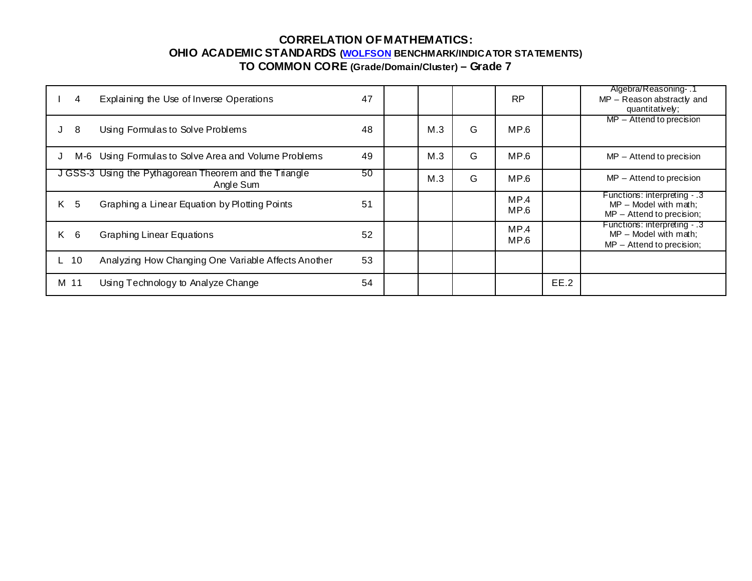| 4         | Explaining the Use of Inverse Operations                            | 47 |     |   | <b>RP</b>    |      | Algebra/Reasoning 1<br>MP - Reason abstractly and<br>quantitatively;                   |
|-----------|---------------------------------------------------------------------|----|-----|---|--------------|------|----------------------------------------------------------------------------------------|
| 8<br>J    | Using Formulas to Solve Problems                                    | 48 | M.3 | G | MP.6         |      | $MP -$ Attend to precision                                                             |
| J         | M-6 Using Formulas to Solve Area and Volume Problems                | 49 | M.3 | G | MP.6         |      | $MP -$ Attend to precision                                                             |
|           | J GSS-3 Using the Pythagorean Theorem and the Triangle<br>Angle Sum | 50 | M.3 | G | MP.6         |      | $MP -$ Attend to precision                                                             |
| 5<br>K    | Graphing a Linear Equation by Plotting Points                       | 51 |     |   | MP.4<br>MP.6 |      | Functions: interpreting - .3<br>$MP - Model$ with math;<br>$MP -$ Attend to precision; |
| - 6<br>K. | <b>Graphing Linear Equations</b>                                    | 52 |     |   | MP.4<br>MP.6 |      | Functions: interpreting - .3<br>$MP - Model$ with math:<br>$MP -$ Attend to precision; |
| 10        | Analyzing How Changing One Variable Affects Another                 | 53 |     |   |              |      |                                                                                        |
| M 11      | Using Technology to Analyze Change                                  | 54 |     |   |              | EE.2 |                                                                                        |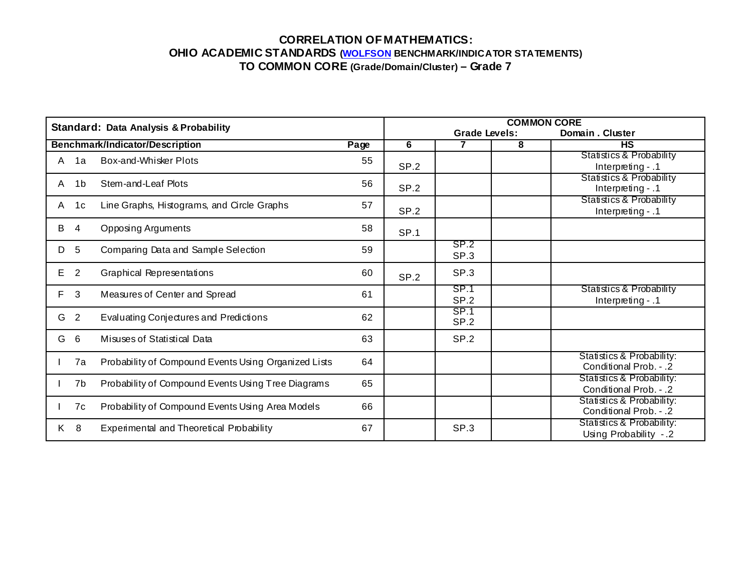|    |                | <b>Standard: Data Analysis &amp; Probability</b>     | <b>COMMON CORE</b> |                  |                      |   |                                                          |  |  |  |
|----|----------------|------------------------------------------------------|--------------------|------------------|----------------------|---|----------------------------------------------------------|--|--|--|
|    |                |                                                      |                    |                  | <b>Grade Levels:</b> |   | Domain. Cluster                                          |  |  |  |
|    |                | <b>Benchmark/Indicator/Description</b>               | Page               | 6                |                      | 8 | <b>HS</b>                                                |  |  |  |
| A  | 1a             | Box-and-Whisker Plots                                | 55                 | <b>SP.2</b>      |                      |   | Statistics & Probability<br>Interpreting $-1$            |  |  |  |
| A  | 1b             | Stem-and-Leaf Plots                                  | 56                 | SP <sub>.2</sub> |                      |   | <b>Statistics &amp; Probability</b><br>Interpreting $-1$ |  |  |  |
| A  | 1 <sub>c</sub> | Line Graphs, Histograms, and Circle Graphs           | 57                 | SP.2             |                      |   | <b>Statistics &amp; Probability</b><br>Interpreting - .1 |  |  |  |
| B  | 4              | Opposing Arguments                                   | 58                 | SP.1             |                      |   |                                                          |  |  |  |
| D  | 5              | Comparing Data and Sample Selection                  | 59                 |                  | SP.2<br>SP.3         |   |                                                          |  |  |  |
| E. | $\overline{2}$ | <b>Graphical Representations</b>                     | 60                 | <b>SP.2</b>      | SP.3                 |   |                                                          |  |  |  |
| F  | 3              | Measures of Center and Spread                        | 61                 |                  | SP.1<br>SP.2         |   | Statistics & Probability<br>Interpreting $-1$            |  |  |  |
| G  | 2              | Evaluating Conjectures and Predictions               | 62                 |                  | SP.1<br>SP.2         |   |                                                          |  |  |  |
| G  | 6              | Misuses of Statistical Data                          | 63                 |                  | SP.2                 |   |                                                          |  |  |  |
|    | 7a             | Probability of Compound Events Using Organized Lists | 64                 |                  |                      |   | Statistics & Probability:<br>Conditional Prob. - .2      |  |  |  |
|    | 7b             | Probability of Compound Events Using Tree Diagrams   | 65                 |                  |                      |   | Statistics & Probability:<br>Conditional Prob. - .2      |  |  |  |
|    | 7c             | Probability of Compound Events Using Area Models     | 66                 |                  |                      |   | Statistics & Probability:<br>Conditional Prob. - .2      |  |  |  |
| K. | 8              | Experimental and Theoretical Probability             | 67                 |                  | SP.3                 |   | Statistics & Probability:<br>Using Probability -.2       |  |  |  |